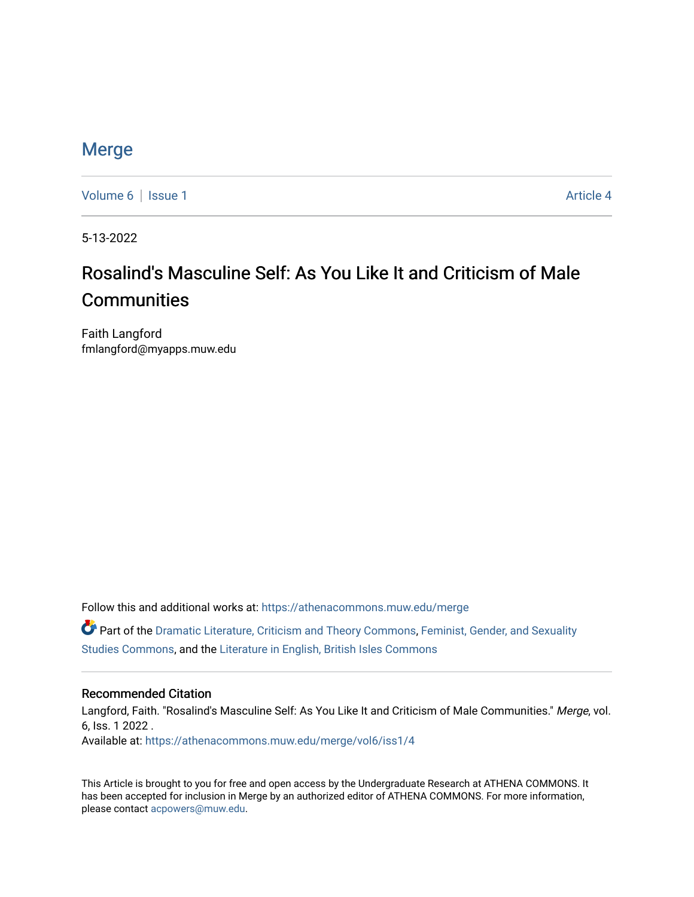### [Merge](https://athenacommons.muw.edu/merge)

[Volume 6](https://athenacommons.muw.edu/merge/vol6) | [Issue 1](https://athenacommons.muw.edu/merge/vol6/iss1) Article 4

5-13-2022

## Rosalind's Masculine Self: As You Like It and Criticism of Male **Communities**

Faith Langford fmlangford@myapps.muw.edu

Follow this and additional works at: [https://athenacommons.muw.edu/merge](https://athenacommons.muw.edu/merge?utm_source=athenacommons.muw.edu%2Fmerge%2Fvol6%2Fiss1%2F4&utm_medium=PDF&utm_campaign=PDFCoverPages) 

Part of the [Dramatic Literature, Criticism and Theory Commons](https://network.bepress.com/hgg/discipline/555?utm_source=athenacommons.muw.edu%2Fmerge%2Fvol6%2Fiss1%2F4&utm_medium=PDF&utm_campaign=PDFCoverPages), [Feminist, Gender, and Sexuality](https://network.bepress.com/hgg/discipline/559?utm_source=athenacommons.muw.edu%2Fmerge%2Fvol6%2Fiss1%2F4&utm_medium=PDF&utm_campaign=PDFCoverPages) [Studies Commons,](https://network.bepress.com/hgg/discipline/559?utm_source=athenacommons.muw.edu%2Fmerge%2Fvol6%2Fiss1%2F4&utm_medium=PDF&utm_campaign=PDFCoverPages) and the [Literature in English, British Isles Commons](https://network.bepress.com/hgg/discipline/456?utm_source=athenacommons.muw.edu%2Fmerge%2Fvol6%2Fiss1%2F4&utm_medium=PDF&utm_campaign=PDFCoverPages)

#### Recommended Citation

Langford, Faith. "Rosalind's Masculine Self: As You Like It and Criticism of Male Communities." Merge, vol. 6, Iss. 1 2022 . Available at: [https://athenacommons.muw.edu/merge/vol6/iss1/4](https://athenacommons.muw.edu/merge/vol6/iss1/4?utm_source=athenacommons.muw.edu%2Fmerge%2Fvol6%2Fiss1%2F4&utm_medium=PDF&utm_campaign=PDFCoverPages) 

This Article is brought to you for free and open access by the Undergraduate Research at ATHENA COMMONS. It has been accepted for inclusion in Merge by an authorized editor of ATHENA COMMONS. For more information, please contact [acpowers@muw.edu](mailto:acpowers@muw.edu).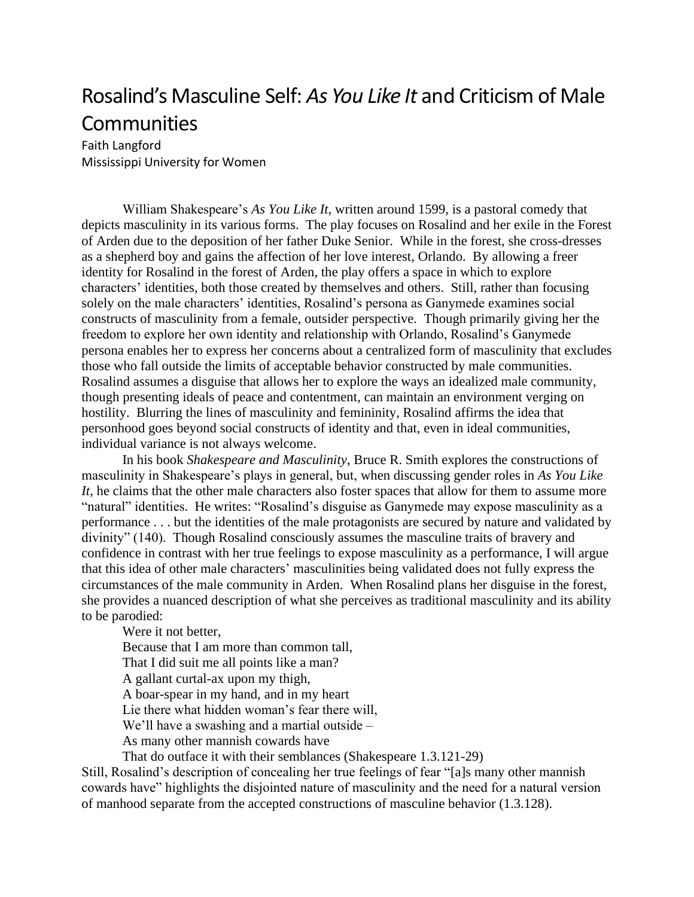# Rosalind's Masculine Self: *As You Like It* and Criticism of Male Communities

Faith Langford Mississippi University for Women

William Shakespeare's *As You Like It*, written around 1599, is a pastoral comedy that depicts masculinity in its various forms. The play focuses on Rosalind and her exile in the Forest of Arden due to the deposition of her father Duke Senior. While in the forest, she cross-dresses as a shepherd boy and gains the affection of her love interest, Orlando. By allowing a freer identity for Rosalind in the forest of Arden, the play offers a space in which to explore characters' identities, both those created by themselves and others. Still, rather than focusing solely on the male characters' identities, Rosalind's persona as Ganymede examines social constructs of masculinity from a female, outsider perspective. Though primarily giving her the freedom to explore her own identity and relationship with Orlando, Rosalind's Ganymede persona enables her to express her concerns about a centralized form of masculinity that excludes those who fall outside the limits of acceptable behavior constructed by male communities. Rosalind assumes a disguise that allows her to explore the ways an idealized male community, though presenting ideals of peace and contentment, can maintain an environment verging on hostility. Blurring the lines of masculinity and femininity, Rosalind affirms the idea that personhood goes beyond social constructs of identity and that, even in ideal communities, individual variance is not always welcome.

In his book *Shakespeare and Masculinity*, Bruce R. Smith explores the constructions of masculinity in Shakespeare's plays in general, but, when discussing gender roles in *As You Like It*, he claims that the other male characters also foster spaces that allow for them to assume more "natural" identities. He writes: "Rosalind's disguise as Ganymede may expose masculinity as a performance . . . but the identities of the male protagonists are secured by nature and validated by divinity" (140). Though Rosalind consciously assumes the masculine traits of bravery and confidence in contrast with her true feelings to expose masculinity as a performance, I will argue that this idea of other male characters' masculinities being validated does not fully express the circumstances of the male community in Arden. When Rosalind plans her disguise in the forest, she provides a nuanced description of what she perceives as traditional masculinity and its ability to be parodied:

Were it not better, Because that I am more than common tall, That I did suit me all points like a man? A gallant curtal-ax upon my thigh, A boar-spear in my hand, and in my heart Lie there what hidden woman's fear there will, We'll have a swashing and a martial outside – As many other mannish cowards have

That do outface it with their semblances (Shakespeare 1.3.121-29)

Still, Rosalind's description of concealing her true feelings of fear "[a]s many other mannish cowards have" highlights the disjointed nature of masculinity and the need for a natural version of manhood separate from the accepted constructions of masculine behavior (1.3.128).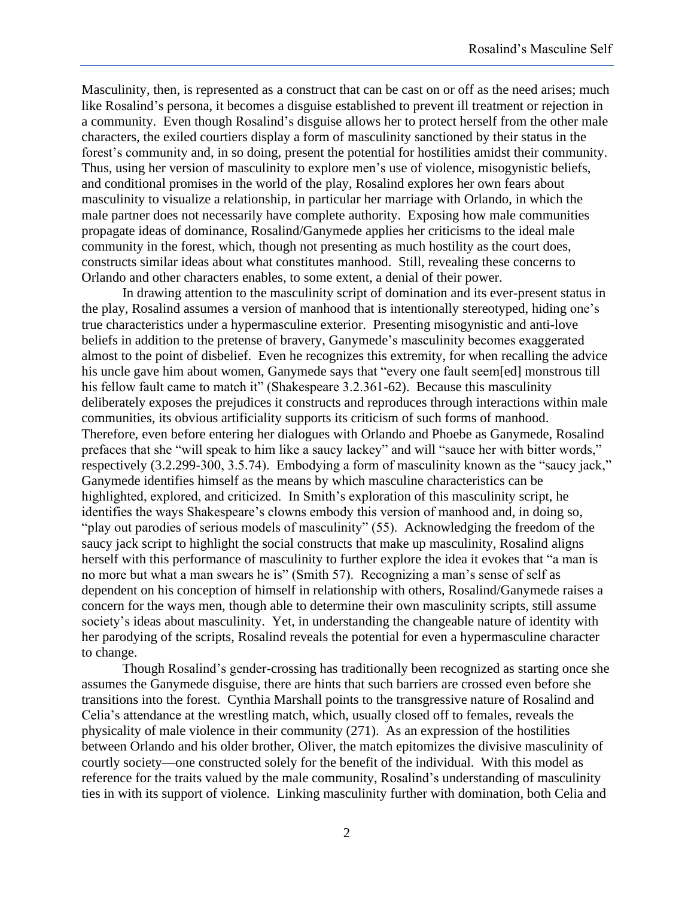Masculinity, then, is represented as a construct that can be cast on or off as the need arises; much like Rosalind's persona, it becomes a disguise established to prevent ill treatment or rejection in a community. Even though Rosalind's disguise allows her to protect herself from the other male characters, the exiled courtiers display a form of masculinity sanctioned by their status in the forest's community and, in so doing, present the potential for hostilities amidst their community. Thus, using her version of masculinity to explore men's use of violence, misogynistic beliefs, and conditional promises in the world of the play, Rosalind explores her own fears about masculinity to visualize a relationship, in particular her marriage with Orlando, in which the male partner does not necessarily have complete authority. Exposing how male communities propagate ideas of dominance, Rosalind/Ganymede applies her criticisms to the ideal male community in the forest, which, though not presenting as much hostility as the court does, constructs similar ideas about what constitutes manhood. Still, revealing these concerns to Orlando and other characters enables, to some extent, a denial of their power.

In drawing attention to the masculinity script of domination and its ever-present status in the play, Rosalind assumes a version of manhood that is intentionally stereotyped, hiding one's true characteristics under a hypermasculine exterior. Presenting misogynistic and anti-love beliefs in addition to the pretense of bravery, Ganymede's masculinity becomes exaggerated almost to the point of disbelief. Even he recognizes this extremity, for when recalling the advice his uncle gave him about women, Ganymede says that "every one fault seem[ed] monstrous till his fellow fault came to match it" (Shakespeare 3.2.361-62). Because this masculinity deliberately exposes the prejudices it constructs and reproduces through interactions within male communities, its obvious artificiality supports its criticism of such forms of manhood. Therefore, even before entering her dialogues with Orlando and Phoebe as Ganymede, Rosalind prefaces that she "will speak to him like a saucy lackey" and will "sauce her with bitter words," respectively (3.2.299-300, 3.5.74). Embodying a form of masculinity known as the "saucy jack," Ganymede identifies himself as the means by which masculine characteristics can be highlighted, explored, and criticized. In Smith's exploration of this masculinity script, he identifies the ways Shakespeare's clowns embody this version of manhood and, in doing so, "play out parodies of serious models of masculinity" (55). Acknowledging the freedom of the saucy jack script to highlight the social constructs that make up masculinity, Rosalind aligns herself with this performance of masculinity to further explore the idea it evokes that "a man is no more but what a man swears he is" (Smith 57). Recognizing a man's sense of self as dependent on his conception of himself in relationship with others, Rosalind/Ganymede raises a concern for the ways men, though able to determine their own masculinity scripts, still assume society's ideas about masculinity. Yet, in understanding the changeable nature of identity with her parodying of the scripts, Rosalind reveals the potential for even a hypermasculine character to change.

Though Rosalind's gender-crossing has traditionally been recognized as starting once she assumes the Ganymede disguise, there are hints that such barriers are crossed even before she transitions into the forest. Cynthia Marshall points to the transgressive nature of Rosalind and Celia's attendance at the wrestling match, which, usually closed off to females, reveals the physicality of male violence in their community (271). As an expression of the hostilities between Orlando and his older brother, Oliver, the match epitomizes the divisive masculinity of courtly society—one constructed solely for the benefit of the individual. With this model as reference for the traits valued by the male community, Rosalind's understanding of masculinity ties in with its support of violence. Linking masculinity further with domination, both Celia and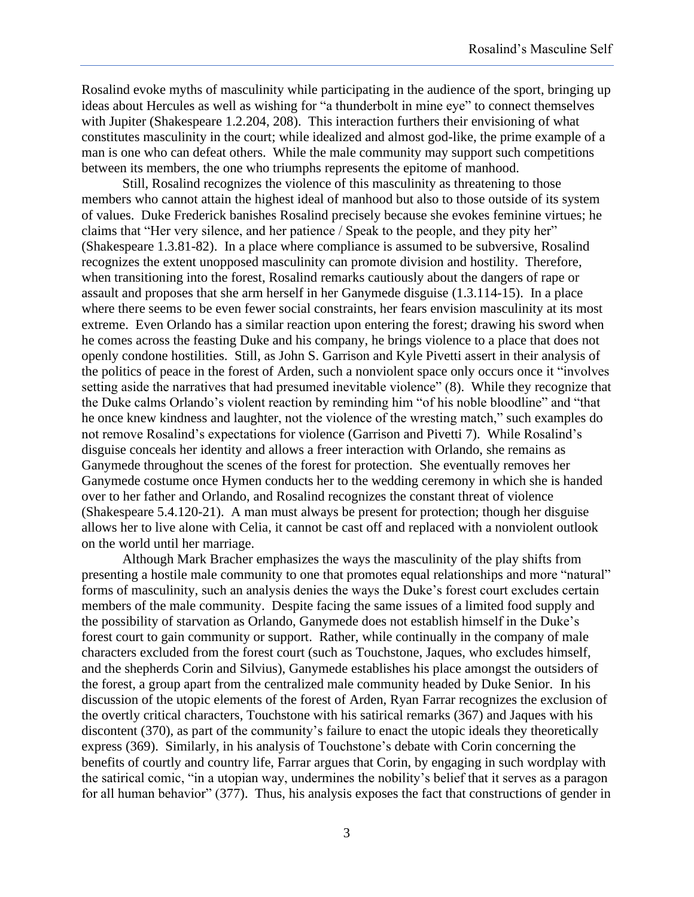Rosalind evoke myths of masculinity while participating in the audience of the sport, bringing up ideas about Hercules as well as wishing for "a thunderbolt in mine eye" to connect themselves with Jupiter (Shakespeare 1.2.204, 208). This interaction furthers their envisioning of what constitutes masculinity in the court; while idealized and almost god-like, the prime example of a man is one who can defeat others. While the male community may support such competitions between its members, the one who triumphs represents the epitome of manhood.

Still, Rosalind recognizes the violence of this masculinity as threatening to those members who cannot attain the highest ideal of manhood but also to those outside of its system of values. Duke Frederick banishes Rosalind precisely because she evokes feminine virtues; he claims that "Her very silence, and her patience / Speak to the people, and they pity her" (Shakespeare 1.3.81-82). In a place where compliance is assumed to be subversive, Rosalind recognizes the extent unopposed masculinity can promote division and hostility. Therefore, when transitioning into the forest, Rosalind remarks cautiously about the dangers of rape or assault and proposes that she arm herself in her Ganymede disguise (1.3.114-15). In a place where there seems to be even fewer social constraints, her fears envision masculinity at its most extreme. Even Orlando has a similar reaction upon entering the forest; drawing his sword when he comes across the feasting Duke and his company, he brings violence to a place that does not openly condone hostilities. Still, as John S. Garrison and Kyle Pivetti assert in their analysis of the politics of peace in the forest of Arden, such a nonviolent space only occurs once it "involves setting aside the narratives that had presumed inevitable violence" (8). While they recognize that the Duke calms Orlando's violent reaction by reminding him "of his noble bloodline" and "that he once knew kindness and laughter, not the violence of the wresting match," such examples do not remove Rosalind's expectations for violence (Garrison and Pivetti 7). While Rosalind's disguise conceals her identity and allows a freer interaction with Orlando, she remains as Ganymede throughout the scenes of the forest for protection. She eventually removes her Ganymede costume once Hymen conducts her to the wedding ceremony in which she is handed over to her father and Orlando, and Rosalind recognizes the constant threat of violence (Shakespeare 5.4.120-21). A man must always be present for protection; though her disguise allows her to live alone with Celia, it cannot be cast off and replaced with a nonviolent outlook on the world until her marriage.

Although Mark Bracher emphasizes the ways the masculinity of the play shifts from presenting a hostile male community to one that promotes equal relationships and more "natural" forms of masculinity, such an analysis denies the ways the Duke's forest court excludes certain members of the male community. Despite facing the same issues of a limited food supply and the possibility of starvation as Orlando, Ganymede does not establish himself in the Duke's forest court to gain community or support. Rather, while continually in the company of male characters excluded from the forest court (such as Touchstone, Jaques, who excludes himself, and the shepherds Corin and Silvius), Ganymede establishes his place amongst the outsiders of the forest, a group apart from the centralized male community headed by Duke Senior. In his discussion of the utopic elements of the forest of Arden, Ryan Farrar recognizes the exclusion of the overtly critical characters, Touchstone with his satirical remarks (367) and Jaques with his discontent (370), as part of the community's failure to enact the utopic ideals they theoretically express (369). Similarly, in his analysis of Touchstone's debate with Corin concerning the benefits of courtly and country life, Farrar argues that Corin, by engaging in such wordplay with the satirical comic, "in a utopian way, undermines the nobility's belief that it serves as a paragon for all human behavior" (377). Thus, his analysis exposes the fact that constructions of gender in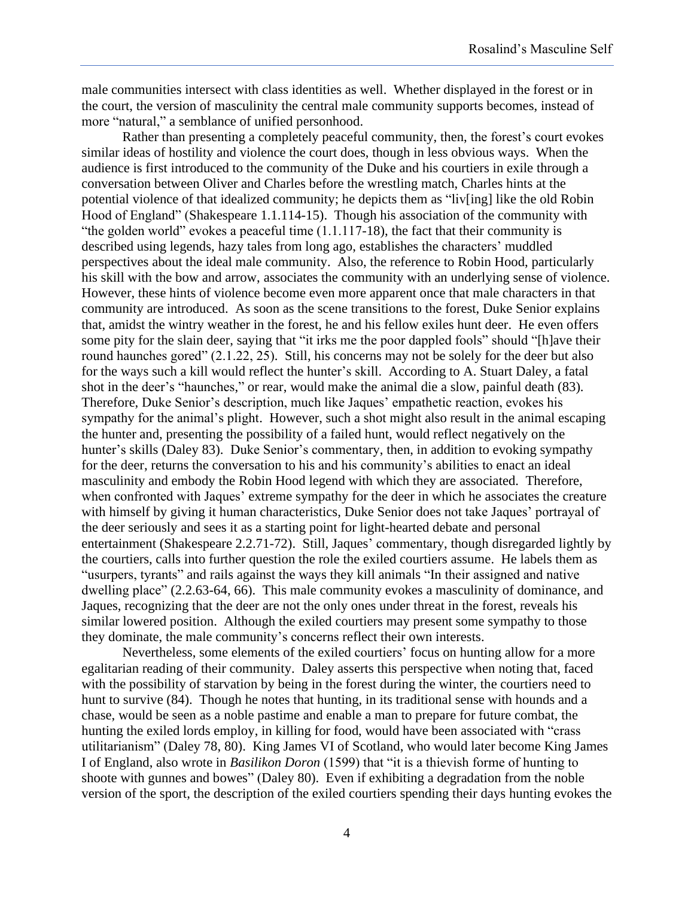male communities intersect with class identities as well. Whether displayed in the forest or in the court, the version of masculinity the central male community supports becomes, instead of more "natural," a semblance of unified personhood.

Rather than presenting a completely peaceful community, then, the forest's court evokes similar ideas of hostility and violence the court does, though in less obvious ways. When the audience is first introduced to the community of the Duke and his courtiers in exile through a conversation between Oliver and Charles before the wrestling match, Charles hints at the potential violence of that idealized community; he depicts them as "liv[ing] like the old Robin Hood of England" (Shakespeare 1.1.114-15). Though his association of the community with "the golden world" evokes a peaceful time (1.1.117-18), the fact that their community is described using legends, hazy tales from long ago, establishes the characters' muddled perspectives about the ideal male community. Also, the reference to Robin Hood, particularly his skill with the bow and arrow, associates the community with an underlying sense of violence. However, these hints of violence become even more apparent once that male characters in that community are introduced. As soon as the scene transitions to the forest, Duke Senior explains that, amidst the wintry weather in the forest, he and his fellow exiles hunt deer. He even offers some pity for the slain deer, saying that "it irks me the poor dappled fools" should "[h]ave their round haunches gored" (2.1.22, 25). Still, his concerns may not be solely for the deer but also for the ways such a kill would reflect the hunter's skill. According to A. Stuart Daley, a fatal shot in the deer's "haunches," or rear, would make the animal die a slow, painful death (83). Therefore, Duke Senior's description, much like Jaques' empathetic reaction, evokes his sympathy for the animal's plight. However, such a shot might also result in the animal escaping the hunter and, presenting the possibility of a failed hunt, would reflect negatively on the hunter's skills (Daley 83). Duke Senior's commentary, then, in addition to evoking sympathy for the deer, returns the conversation to his and his community's abilities to enact an ideal masculinity and embody the Robin Hood legend with which they are associated. Therefore, when confronted with Jaques' extreme sympathy for the deer in which he associates the creature with himself by giving it human characteristics, Duke Senior does not take Jaques' portrayal of the deer seriously and sees it as a starting point for light-hearted debate and personal entertainment (Shakespeare 2.2.71-72). Still, Jaques' commentary, though disregarded lightly by the courtiers, calls into further question the role the exiled courtiers assume. He labels them as "usurpers, tyrants" and rails against the ways they kill animals "In their assigned and native dwelling place" (2.2.63-64, 66). This male community evokes a masculinity of dominance, and Jaques, recognizing that the deer are not the only ones under threat in the forest, reveals his similar lowered position. Although the exiled courtiers may present some sympathy to those they dominate, the male community's concerns reflect their own interests.

Nevertheless, some elements of the exiled courtiers' focus on hunting allow for a more egalitarian reading of their community. Daley asserts this perspective when noting that, faced with the possibility of starvation by being in the forest during the winter, the courtiers need to hunt to survive (84). Though he notes that hunting, in its traditional sense with hounds and a chase, would be seen as a noble pastime and enable a man to prepare for future combat, the hunting the exiled lords employ, in killing for food, would have been associated with "crass utilitarianism" (Daley 78, 80). King James VI of Scotland, who would later become King James I of England, also wrote in *Basilikon Doron* (1599) that "it is a thievish forme of hunting to shoote with gunnes and bowes" (Daley 80). Even if exhibiting a degradation from the noble version of the sport, the description of the exiled courtiers spending their days hunting evokes the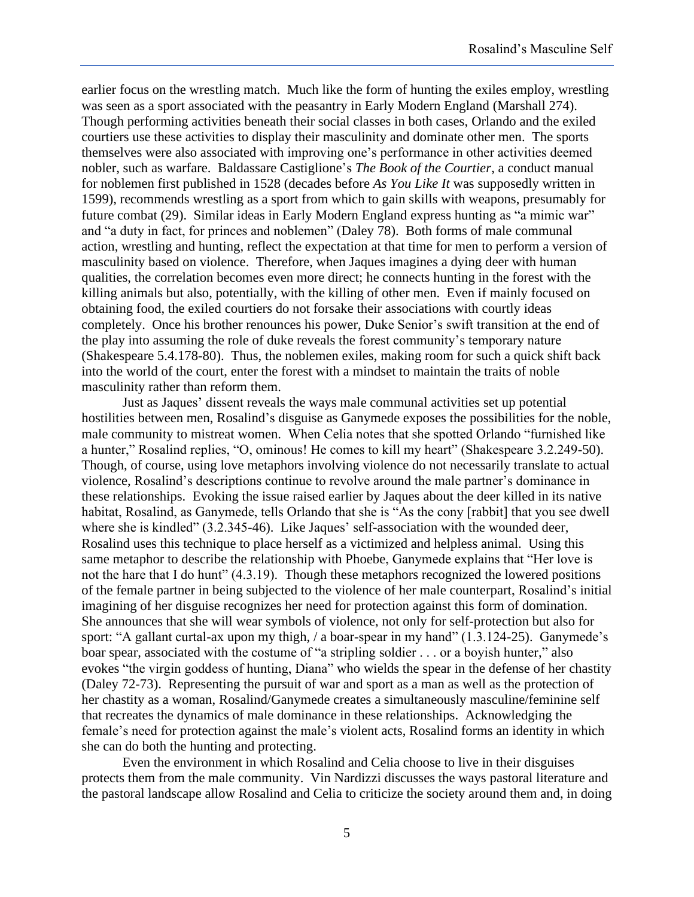earlier focus on the wrestling match. Much like the form of hunting the exiles employ, wrestling was seen as a sport associated with the peasantry in Early Modern England (Marshall 274). Though performing activities beneath their social classes in both cases, Orlando and the exiled courtiers use these activities to display their masculinity and dominate other men. The sports themselves were also associated with improving one's performance in other activities deemed nobler, such as warfare. Baldassare Castiglione's *The Book of the Courtier*, a conduct manual for noblemen first published in 1528 (decades before *As You Like It* was supposedly written in 1599), recommends wrestling as a sport from which to gain skills with weapons, presumably for future combat (29). Similar ideas in Early Modern England express hunting as "a mimic war" and "a duty in fact, for princes and noblemen" (Daley 78). Both forms of male communal action, wrestling and hunting, reflect the expectation at that time for men to perform a version of masculinity based on violence. Therefore, when Jaques imagines a dying deer with human qualities, the correlation becomes even more direct; he connects hunting in the forest with the killing animals but also, potentially, with the killing of other men. Even if mainly focused on obtaining food, the exiled courtiers do not forsake their associations with courtly ideas completely. Once his brother renounces his power, Duke Senior's swift transition at the end of the play into assuming the role of duke reveals the forest community's temporary nature (Shakespeare 5.4.178-80). Thus, the noblemen exiles, making room for such a quick shift back into the world of the court, enter the forest with a mindset to maintain the traits of noble masculinity rather than reform them.

Just as Jaques' dissent reveals the ways male communal activities set up potential hostilities between men, Rosalind's disguise as Ganymede exposes the possibilities for the noble, male community to mistreat women. When Celia notes that she spotted Orlando "furnished like a hunter," Rosalind replies, "O, ominous! He comes to kill my heart" (Shakespeare 3.2.249-50). Though, of course, using love metaphors involving violence do not necessarily translate to actual violence, Rosalind's descriptions continue to revolve around the male partner's dominance in these relationships. Evoking the issue raised earlier by Jaques about the deer killed in its native habitat, Rosalind, as Ganymede, tells Orlando that she is "As the cony [rabbit] that you see dwell where she is kindled" (3.2.345-46). Like Jaques' self-association with the wounded deer, Rosalind uses this technique to place herself as a victimized and helpless animal. Using this same metaphor to describe the relationship with Phoebe, Ganymede explains that "Her love is not the hare that I do hunt" (4.3.19). Though these metaphors recognized the lowered positions of the female partner in being subjected to the violence of her male counterpart, Rosalind's initial imagining of her disguise recognizes her need for protection against this form of domination. She announces that she will wear symbols of violence, not only for self-protection but also for sport: "A gallant curtal-ax upon my thigh, / a boar-spear in my hand" (1.3.124-25). Ganymede's boar spear, associated with the costume of "a stripling soldier . . . or a boyish hunter," also evokes "the virgin goddess of hunting, Diana" who wields the spear in the defense of her chastity (Daley 72-73). Representing the pursuit of war and sport as a man as well as the protection of her chastity as a woman, Rosalind/Ganymede creates a simultaneously masculine/feminine self that recreates the dynamics of male dominance in these relationships. Acknowledging the female's need for protection against the male's violent acts, Rosalind forms an identity in which she can do both the hunting and protecting.

Even the environment in which Rosalind and Celia choose to live in their disguises protects them from the male community. Vin Nardizzi discusses the ways pastoral literature and the pastoral landscape allow Rosalind and Celia to criticize the society around them and, in doing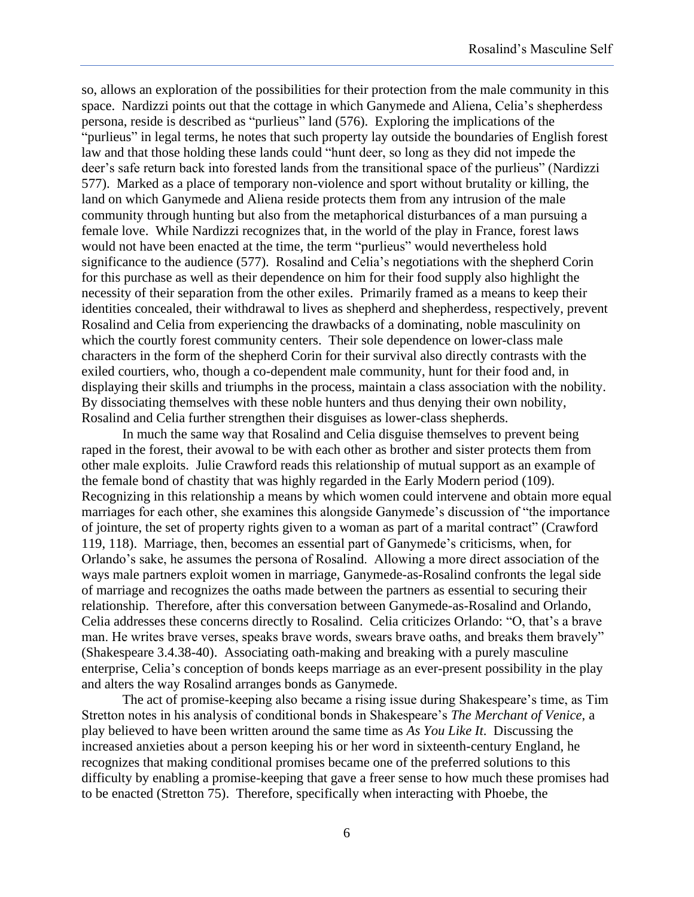so, allows an exploration of the possibilities for their protection from the male community in this space. Nardizzi points out that the cottage in which Ganymede and Aliena, Celia's shepherdess persona, reside is described as "purlieus" land (576). Exploring the implications of the "purlieus" in legal terms, he notes that such property lay outside the boundaries of English forest law and that those holding these lands could "hunt deer, so long as they did not impede the deer's safe return back into forested lands from the transitional space of the purlieus" (Nardizzi 577). Marked as a place of temporary non-violence and sport without brutality or killing, the land on which Ganymede and Aliena reside protects them from any intrusion of the male community through hunting but also from the metaphorical disturbances of a man pursuing a female love. While Nardizzi recognizes that, in the world of the play in France, forest laws would not have been enacted at the time, the term "purlieus" would nevertheless hold significance to the audience (577). Rosalind and Celia's negotiations with the shepherd Corin for this purchase as well as their dependence on him for their food supply also highlight the necessity of their separation from the other exiles. Primarily framed as a means to keep their identities concealed, their withdrawal to lives as shepherd and shepherdess, respectively, prevent Rosalind and Celia from experiencing the drawbacks of a dominating, noble masculinity on which the courtly forest community centers. Their sole dependence on lower-class male characters in the form of the shepherd Corin for their survival also directly contrasts with the exiled courtiers, who, though a co-dependent male community, hunt for their food and, in displaying their skills and triumphs in the process, maintain a class association with the nobility. By dissociating themselves with these noble hunters and thus denying their own nobility, Rosalind and Celia further strengthen their disguises as lower-class shepherds.

In much the same way that Rosalind and Celia disguise themselves to prevent being raped in the forest, their avowal to be with each other as brother and sister protects them from other male exploits. Julie Crawford reads this relationship of mutual support as an example of the female bond of chastity that was highly regarded in the Early Modern period (109). Recognizing in this relationship a means by which women could intervene and obtain more equal marriages for each other, she examines this alongside Ganymede's discussion of "the importance of jointure, the set of property rights given to a woman as part of a marital contract" (Crawford 119, 118). Marriage, then, becomes an essential part of Ganymede's criticisms, when, for Orlando's sake, he assumes the persona of Rosalind. Allowing a more direct association of the ways male partners exploit women in marriage, Ganymede-as-Rosalind confronts the legal side of marriage and recognizes the oaths made between the partners as essential to securing their relationship. Therefore, after this conversation between Ganymede-as-Rosalind and Orlando, Celia addresses these concerns directly to Rosalind. Celia criticizes Orlando: "O, that's a brave man. He writes brave verses, speaks brave words, swears brave oaths, and breaks them bravely" (Shakespeare 3.4.38-40). Associating oath-making and breaking with a purely masculine enterprise, Celia's conception of bonds keeps marriage as an ever-present possibility in the play and alters the way Rosalind arranges bonds as Ganymede.

The act of promise-keeping also became a rising issue during Shakespeare's time, as Tim Stretton notes in his analysis of conditional bonds in Shakespeare's *The Merchant of Venice*, a play believed to have been written around the same time as *As You Like It*. Discussing the increased anxieties about a person keeping his or her word in sixteenth-century England, he recognizes that making conditional promises became one of the preferred solutions to this difficulty by enabling a promise-keeping that gave a freer sense to how much these promises had to be enacted (Stretton 75). Therefore, specifically when interacting with Phoebe, the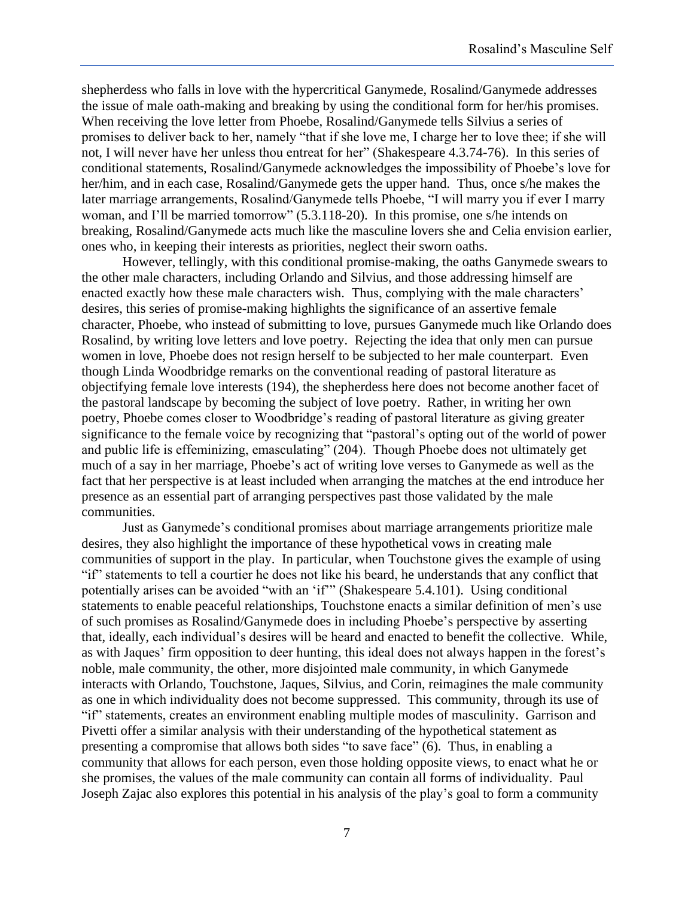shepherdess who falls in love with the hypercritical Ganymede, Rosalind/Ganymede addresses the issue of male oath-making and breaking by using the conditional form for her/his promises. When receiving the love letter from Phoebe, Rosalind/Ganymede tells Silvius a series of promises to deliver back to her, namely "that if she love me, I charge her to love thee; if she will not, I will never have her unless thou entreat for her" (Shakespeare 4.3.74-76). In this series of conditional statements, Rosalind/Ganymede acknowledges the impossibility of Phoebe's love for her/him, and in each case, Rosalind/Ganymede gets the upper hand. Thus, once s/he makes the later marriage arrangements, Rosalind/Ganymede tells Phoebe, "I will marry you if ever I marry woman, and I'll be married tomorrow" (5.3.118-20). In this promise, one s/he intends on breaking, Rosalind/Ganymede acts much like the masculine lovers she and Celia envision earlier, ones who, in keeping their interests as priorities, neglect their sworn oaths.

However, tellingly, with this conditional promise-making, the oaths Ganymede swears to the other male characters, including Orlando and Silvius, and those addressing himself are enacted exactly how these male characters wish. Thus, complying with the male characters' desires, this series of promise-making highlights the significance of an assertive female character, Phoebe, who instead of submitting to love, pursues Ganymede much like Orlando does Rosalind, by writing love letters and love poetry. Rejecting the idea that only men can pursue women in love, Phoebe does not resign herself to be subjected to her male counterpart. Even though Linda Woodbridge remarks on the conventional reading of pastoral literature as objectifying female love interests (194), the shepherdess here does not become another facet of the pastoral landscape by becoming the subject of love poetry. Rather, in writing her own poetry, Phoebe comes closer to Woodbridge's reading of pastoral literature as giving greater significance to the female voice by recognizing that "pastoral's opting out of the world of power and public life is effeminizing, emasculating" (204). Though Phoebe does not ultimately get much of a say in her marriage, Phoebe's act of writing love verses to Ganymede as well as the fact that her perspective is at least included when arranging the matches at the end introduce her presence as an essential part of arranging perspectives past those validated by the male communities.

Just as Ganymede's conditional promises about marriage arrangements prioritize male desires, they also highlight the importance of these hypothetical vows in creating male communities of support in the play. In particular, when Touchstone gives the example of using "if" statements to tell a courtier he does not like his beard, he understands that any conflict that potentially arises can be avoided "with an 'if" (Shakespeare 5.4.101). Using conditional statements to enable peaceful relationships, Touchstone enacts a similar definition of men's use of such promises as Rosalind/Ganymede does in including Phoebe's perspective by asserting that, ideally, each individual's desires will be heard and enacted to benefit the collective. While, as with Jaques' firm opposition to deer hunting, this ideal does not always happen in the forest's noble, male community, the other, more disjointed male community, in which Ganymede interacts with Orlando, Touchstone, Jaques, Silvius, and Corin, reimagines the male community as one in which individuality does not become suppressed. This community, through its use of "if" statements, creates an environment enabling multiple modes of masculinity. Garrison and Pivetti offer a similar analysis with their understanding of the hypothetical statement as presenting a compromise that allows both sides "to save face" (6). Thus, in enabling a community that allows for each person, even those holding opposite views, to enact what he or she promises, the values of the male community can contain all forms of individuality. Paul Joseph Zajac also explores this potential in his analysis of the play's goal to form a community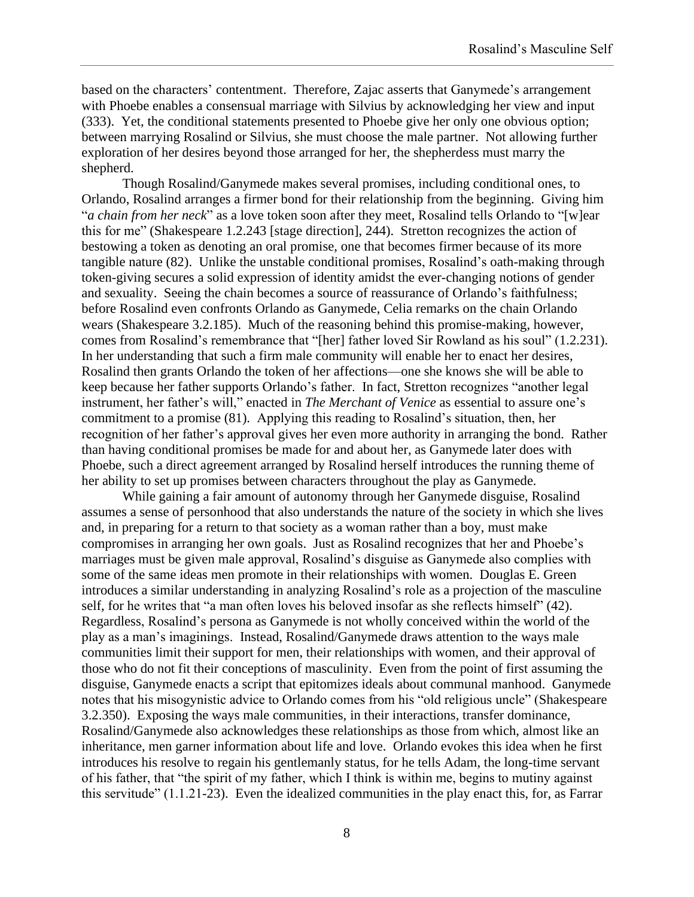based on the characters' contentment. Therefore, Zajac asserts that Ganymede's arrangement with Phoebe enables a consensual marriage with Silvius by acknowledging her view and input (333). Yet, the conditional statements presented to Phoebe give her only one obvious option; between marrying Rosalind or Silvius, she must choose the male partner. Not allowing further exploration of her desires beyond those arranged for her, the shepherdess must marry the shepherd.

Though Rosalind/Ganymede makes several promises, including conditional ones, to Orlando, Rosalind arranges a firmer bond for their relationship from the beginning. Giving him "*a chain from her neck*" as a love token soon after they meet, Rosalind tells Orlando to "[w]ear this for me" (Shakespeare 1.2.243 [stage direction], 244). Stretton recognizes the action of bestowing a token as denoting an oral promise, one that becomes firmer because of its more tangible nature (82). Unlike the unstable conditional promises, Rosalind's oath-making through token-giving secures a solid expression of identity amidst the ever-changing notions of gender and sexuality. Seeing the chain becomes a source of reassurance of Orlando's faithfulness; before Rosalind even confronts Orlando as Ganymede, Celia remarks on the chain Orlando wears (Shakespeare 3.2.185). Much of the reasoning behind this promise-making, however, comes from Rosalind's remembrance that "[her] father loved Sir Rowland as his soul" (1.2.231). In her understanding that such a firm male community will enable her to enact her desires, Rosalind then grants Orlando the token of her affections—one she knows she will be able to keep because her father supports Orlando's father. In fact, Stretton recognizes "another legal instrument, her father's will," enacted in *The Merchant of Venice* as essential to assure one's commitment to a promise (81). Applying this reading to Rosalind's situation, then, her recognition of her father's approval gives her even more authority in arranging the bond. Rather than having conditional promises be made for and about her, as Ganymede later does with Phoebe, such a direct agreement arranged by Rosalind herself introduces the running theme of her ability to set up promises between characters throughout the play as Ganymede.

While gaining a fair amount of autonomy through her Ganymede disguise, Rosalind assumes a sense of personhood that also understands the nature of the society in which she lives and, in preparing for a return to that society as a woman rather than a boy, must make compromises in arranging her own goals. Just as Rosalind recognizes that her and Phoebe's marriages must be given male approval, Rosalind's disguise as Ganymede also complies with some of the same ideas men promote in their relationships with women. Douglas E. Green introduces a similar understanding in analyzing Rosalind's role as a projection of the masculine self, for he writes that "a man often loves his beloved insofar as she reflects himself" (42). Regardless, Rosalind's persona as Ganymede is not wholly conceived within the world of the play as a man's imaginings. Instead, Rosalind/Ganymede draws attention to the ways male communities limit their support for men, their relationships with women, and their approval of those who do not fit their conceptions of masculinity. Even from the point of first assuming the disguise, Ganymede enacts a script that epitomizes ideals about communal manhood. Ganymede notes that his misogynistic advice to Orlando comes from his "old religious uncle" (Shakespeare 3.2.350). Exposing the ways male communities, in their interactions, transfer dominance, Rosalind/Ganymede also acknowledges these relationships as those from which, almost like an inheritance, men garner information about life and love. Orlando evokes this idea when he first introduces his resolve to regain his gentlemanly status, for he tells Adam, the long-time servant of his father, that "the spirit of my father, which I think is within me, begins to mutiny against this servitude" (1.1.21-23). Even the idealized communities in the play enact this, for, as Farrar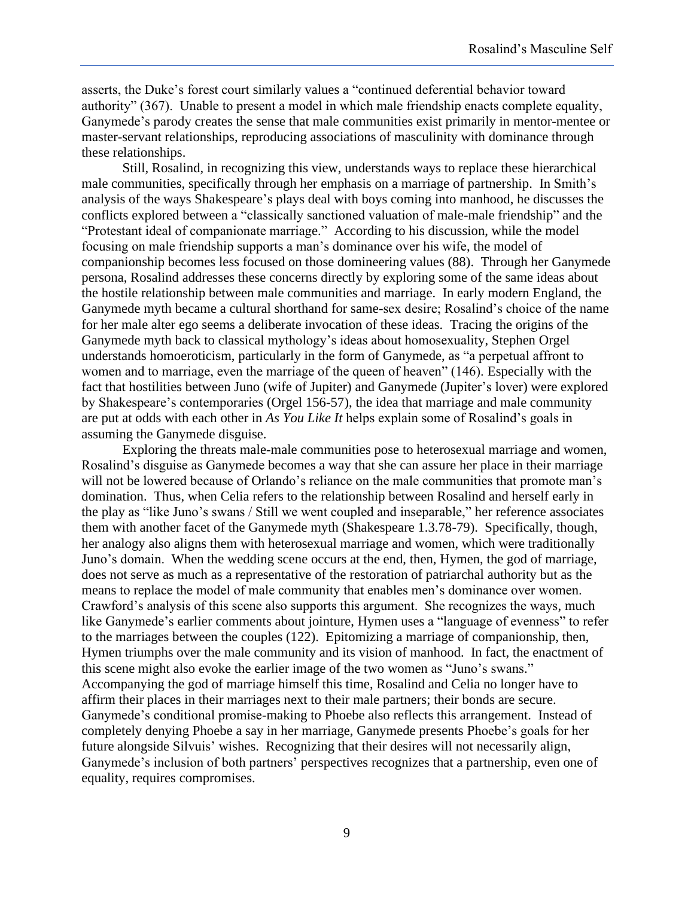asserts, the Duke's forest court similarly values a "continued deferential behavior toward authority" (367). Unable to present a model in which male friendship enacts complete equality, Ganymede's parody creates the sense that male communities exist primarily in mentor-mentee or master-servant relationships, reproducing associations of masculinity with dominance through these relationships.

Still, Rosalind, in recognizing this view, understands ways to replace these hierarchical male communities, specifically through her emphasis on a marriage of partnership. In Smith's analysis of the ways Shakespeare's plays deal with boys coming into manhood, he discusses the conflicts explored between a "classically sanctioned valuation of male-male friendship" and the "Protestant ideal of companionate marriage." According to his discussion, while the model focusing on male friendship supports a man's dominance over his wife, the model of companionship becomes less focused on those domineering values (88). Through her Ganymede persona, Rosalind addresses these concerns directly by exploring some of the same ideas about the hostile relationship between male communities and marriage. In early modern England, the Ganymede myth became a cultural shorthand for same-sex desire; Rosalind's choice of the name for her male alter ego seems a deliberate invocation of these ideas. Tracing the origins of the Ganymede myth back to classical mythology's ideas about homosexuality, Stephen Orgel understands homoeroticism, particularly in the form of Ganymede, as "a perpetual affront to women and to marriage, even the marriage of the queen of heaven" (146). Especially with the fact that hostilities between Juno (wife of Jupiter) and Ganymede (Jupiter's lover) were explored by Shakespeare's contemporaries (Orgel 156-57), the idea that marriage and male community are put at odds with each other in *As You Like It* helps explain some of Rosalind's goals in assuming the Ganymede disguise.

Exploring the threats male-male communities pose to heterosexual marriage and women, Rosalind's disguise as Ganymede becomes a way that she can assure her place in their marriage will not be lowered because of Orlando's reliance on the male communities that promote man's domination. Thus, when Celia refers to the relationship between Rosalind and herself early in the play as "like Juno's swans / Still we went coupled and inseparable," her reference associates them with another facet of the Ganymede myth (Shakespeare 1.3.78-79). Specifically, though, her analogy also aligns them with heterosexual marriage and women, which were traditionally Juno's domain. When the wedding scene occurs at the end, then, Hymen, the god of marriage, does not serve as much as a representative of the restoration of patriarchal authority but as the means to replace the model of male community that enables men's dominance over women. Crawford's analysis of this scene also supports this argument. She recognizes the ways, much like Ganymede's earlier comments about jointure, Hymen uses a "language of evenness" to refer to the marriages between the couples (122). Epitomizing a marriage of companionship, then, Hymen triumphs over the male community and its vision of manhood. In fact, the enactment of this scene might also evoke the earlier image of the two women as "Juno's swans." Accompanying the god of marriage himself this time, Rosalind and Celia no longer have to affirm their places in their marriages next to their male partners; their bonds are secure. Ganymede's conditional promise-making to Phoebe also reflects this arrangement. Instead of completely denying Phoebe a say in her marriage, Ganymede presents Phoebe's goals for her future alongside Silvuis' wishes. Recognizing that their desires will not necessarily align, Ganymede's inclusion of both partners' perspectives recognizes that a partnership, even one of equality, requires compromises.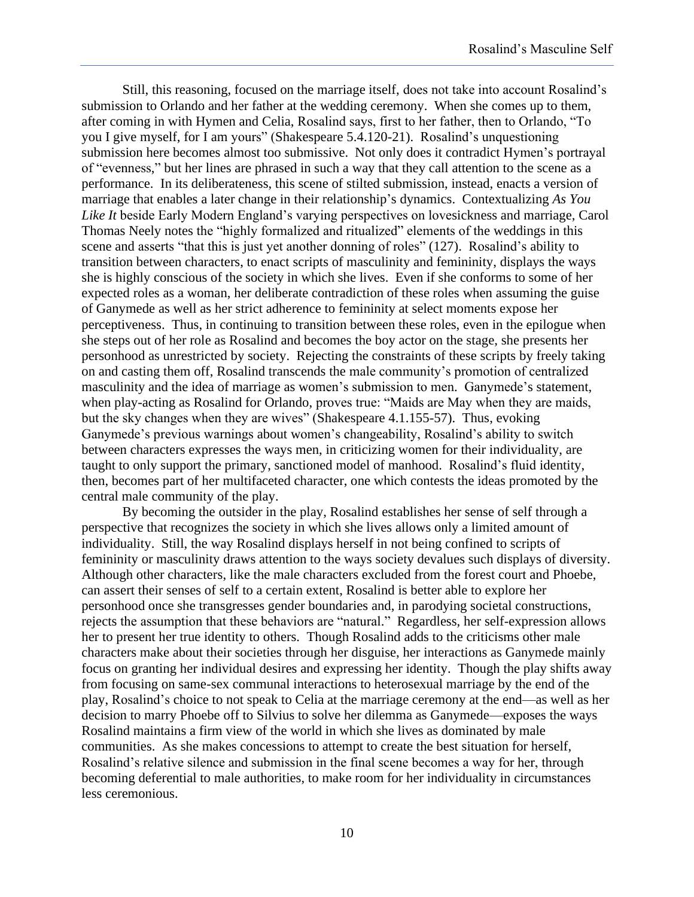Still, this reasoning, focused on the marriage itself, does not take into account Rosalind's submission to Orlando and her father at the wedding ceremony. When she comes up to them, after coming in with Hymen and Celia, Rosalind says, first to her father, then to Orlando, "To you I give myself, for I am yours" (Shakespeare 5.4.120-21). Rosalind's unquestioning submission here becomes almost too submissive. Not only does it contradict Hymen's portrayal of "evenness," but her lines are phrased in such a way that they call attention to the scene as a performance. In its deliberateness, this scene of stilted submission, instead, enacts a version of marriage that enables a later change in their relationship's dynamics. Contextualizing *As You Like It* beside Early Modern England's varying perspectives on lovesickness and marriage, Carol Thomas Neely notes the "highly formalized and ritualized" elements of the weddings in this scene and asserts "that this is just yet another donning of roles" (127). Rosalind's ability to transition between characters, to enact scripts of masculinity and femininity, displays the ways she is highly conscious of the society in which she lives. Even if she conforms to some of her expected roles as a woman, her deliberate contradiction of these roles when assuming the guise of Ganymede as well as her strict adherence to femininity at select moments expose her perceptiveness. Thus, in continuing to transition between these roles, even in the epilogue when she steps out of her role as Rosalind and becomes the boy actor on the stage, she presents her personhood as unrestricted by society. Rejecting the constraints of these scripts by freely taking on and casting them off, Rosalind transcends the male community's promotion of centralized masculinity and the idea of marriage as women's submission to men. Ganymede's statement, when play-acting as Rosalind for Orlando, proves true: "Maids are May when they are maids, but the sky changes when they are wives" (Shakespeare 4.1.155-57). Thus, evoking Ganymede's previous warnings about women's changeability, Rosalind's ability to switch between characters expresses the ways men, in criticizing women for their individuality, are taught to only support the primary, sanctioned model of manhood. Rosalind's fluid identity, then, becomes part of her multifaceted character, one which contests the ideas promoted by the central male community of the play.

By becoming the outsider in the play, Rosalind establishes her sense of self through a perspective that recognizes the society in which she lives allows only a limited amount of individuality. Still, the way Rosalind displays herself in not being confined to scripts of femininity or masculinity draws attention to the ways society devalues such displays of diversity. Although other characters, like the male characters excluded from the forest court and Phoebe, can assert their senses of self to a certain extent, Rosalind is better able to explore her personhood once she transgresses gender boundaries and, in parodying societal constructions, rejects the assumption that these behaviors are "natural." Regardless, her self-expression allows her to present her true identity to others. Though Rosalind adds to the criticisms other male characters make about their societies through her disguise, her interactions as Ganymede mainly focus on granting her individual desires and expressing her identity. Though the play shifts away from focusing on same-sex communal interactions to heterosexual marriage by the end of the play, Rosalind's choice to not speak to Celia at the marriage ceremony at the end—as well as her decision to marry Phoebe off to Silvius to solve her dilemma as Ganymede—exposes the ways Rosalind maintains a firm view of the world in which she lives as dominated by male communities. As she makes concessions to attempt to create the best situation for herself, Rosalind's relative silence and submission in the final scene becomes a way for her, through becoming deferential to male authorities, to make room for her individuality in circumstances less ceremonious.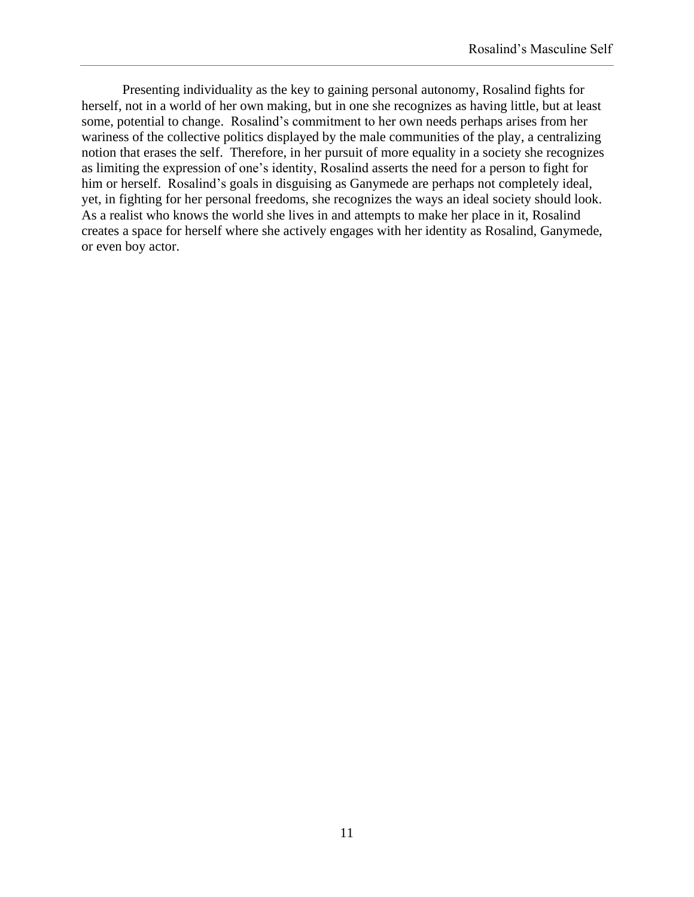Presenting individuality as the key to gaining personal autonomy, Rosalind fights for herself, not in a world of her own making, but in one she recognizes as having little, but at least some, potential to change. Rosalind's commitment to her own needs perhaps arises from her wariness of the collective politics displayed by the male communities of the play, a centralizing notion that erases the self. Therefore, in her pursuit of more equality in a society she recognizes as limiting the expression of one's identity, Rosalind asserts the need for a person to fight for him or herself. Rosalind's goals in disguising as Ganymede are perhaps not completely ideal, yet, in fighting for her personal freedoms, she recognizes the ways an ideal society should look. As a realist who knows the world she lives in and attempts to make her place in it, Rosalind creates a space for herself where she actively engages with her identity as Rosalind, Ganymede, or even boy actor.